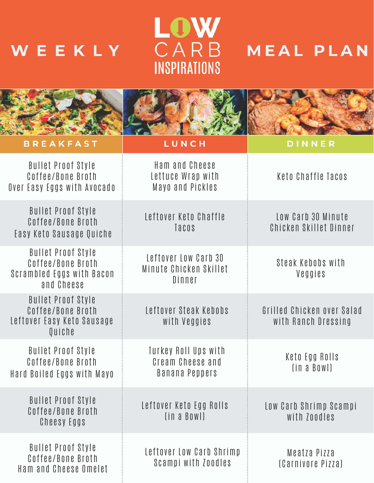# LOW WEEKLY  $\overline{C} \overline{A} \overline{R} \overline{B}$  MEAL PLAN



| <b>BREAKFAST</b>                                                                          | LUNCH                                                      | DINNER                                            |
|-------------------------------------------------------------------------------------------|------------------------------------------------------------|---------------------------------------------------|
| <b>Bullet Proof Style</b><br>Coffee/Bone Broth<br>Over Easy Eggs with Avocado             | Ham and Cheese<br>Lettuce Wrap with<br>Mayo and Pickles    | Keto Chaffle Tacos                                |
| <b>Bullet Proof Style</b><br>Coffee/Bone Broth<br>Easy Keto Sausage Quiche                | Leftover Keto Chaffle<br>Tacos                             | Low Carb 30 Minute<br>Chicken Skillet Dinner      |
| <b>Bullet Proof Style</b><br>Coffee/Bone Broth<br>Scrambled Eggs with Bacon<br>and Cheese | Leftover Low Carb 30<br>Minute Chicken Skillet<br>Dinner   | Steak Kebobs with<br>Veggies                      |
| <b>Bullet Proof Style</b><br>Coffee/Bone Broth<br>Leftover Easy Keto Sausage<br>Quiche    | Leftover Steak Kebobs<br>with Veggies                      | Grilled Chicken over Salad<br>with Ranch Dressing |
| <b>Bullet Proof Style</b><br>Coffee/Bone Broth<br>Hard Boiled Eggs with Mayo              | Turkey Roll Ups with<br>Cream Cheese and<br>Banana Peppers | Keto Egg Rolls<br>(in a BowI)                     |
| <b>Bullet Proof Style</b><br>Coffee/Bone Broth<br>Cheesy Eggs                             | Leftover Keto Egg Rolls<br>(in a BowI)                     | Low Carb Shrimp Scampi<br>with Zoodles            |
| <b>Bullet Proof Style</b><br>Coffee/Bone Broth<br>Ham and Cheese Omelet                   | Leftover Low Carb Shrimp<br>Scampi with Zoodles            | Meatza Pizza<br>(Carnivore Pizza)                 |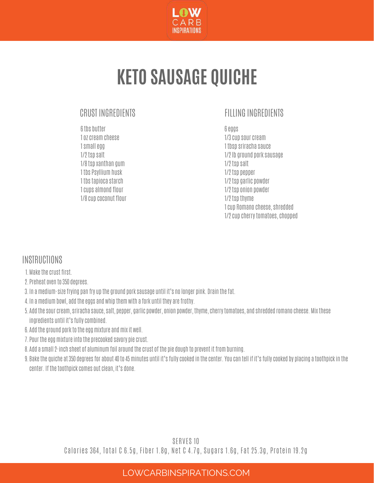

### **KETO SAUSAGE QUICHE**

#### CRUST INGREDIENTS

6tbs butter 1 oz cream cheese 1smallegg 1/2tsp salt 1/8tsp xanthan gum 1 tbs Psylliumhusk 1 tbstapioca starch 1cups almond flour 1/8cup coconut flour

#### FILLING INGREDIENTS

6eggs 1/3cup sourcream 1 tbsp sriracha sauce 1/2lb ground porksausage 1/2tsp salt 1/2tsp pepper 1/2tsp garlic powder 1/2tsp onion powder 1/2tsp thyme 1cup Romano cheese,shredded 1/2 cup cherry tomatoes, chopped

#### **INSTRUCTIONS**

- Makethecrust first. 1.
- Preheat oven to 350 degrees. 2.
- 3. In a medium-size frying pan fry up the ground pork sausage until it's no longer pink. Drain the fat.
- 4. In a medium bowl, add the eggs and whip them with a fork until they are frothy.
- 5. Add the sour cream, sriracha sauce, salt, pepper, garlic powder, onion powder, thyme, cherry tomatoes, and shredded romano cheese. Mix these ingredients until it's fully combined.
- 6. Add the ground pork to the egg mixture and mix it well.
- /. Pour the egg mixture into the precooked savory pie crust.
- 8. Add a small 2-inch sheet of aluminum foil around the crust of the pie dough to prevent it from burning.
- 9. Bake the quiche at 350 degrees for about 40 to 45 minutes until it's fully cooked in the center. You can tell if it's fully cooked by placing a toothpick in the center. If the toothpick comes out clean, it's done.

SERVES 10 Calories 364, Total C 6.5g, Fiber 1.8g, Net C 4.7g, Sugars 1.6g, Fat 25.3g, Protein 19.2g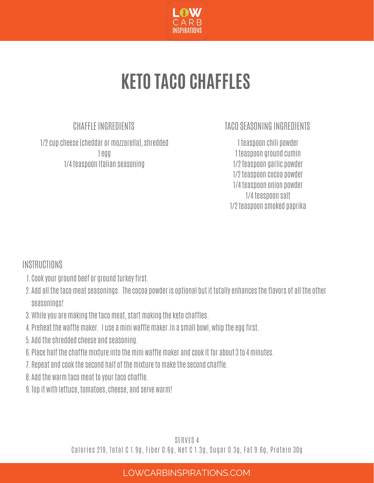

### **KETO TACO CHAFFLES**

### CHAFFLE INGREDIENTS

1/2cup cheese(cheddar ormozzarella),shredded 1egg 1/4teaspoon Italian seasoning

### TACO SEASONING INGREDIENTS

1 teaspoon chili powder 1 teaspoon ground cumin 1/2teaspoon garlic powder 1/2teaspoon cocoa powder 1/4teaspoon onion powder 1/4teaspoon salt 1/2teaspoon smoked paprika

INSTRUCTIONS

- 1. Cook your ground beef or ground turkey first.
- 2. Add all the taco meat seasonings. The cocoa powder is optional but it totally enhances the flavors of all the other seasonings!
- 3. While you are making the taco meat, start making the keto chaffles.
- 4. Preheat the waffle maker. I use a mini waffle maker.In a small bowl, whip the egg first.
- Add theshredded cheese and seasoning. 5.
- 6. Place half the chaffle mixture into the mini waffle maker and cook it for about 3 to 4 minutes.
- /. Repeat and cook the second half of the mixture to make the second chaffle.
- 8. Add the warm taco meat to your taco chaffle.
- 9. Iop it with lettuce, tomatoes, cheese, and serve warm!

SERVES 4 Calories 219, Total C 1.9g, Fiber 0.6g, Net C 1.3g, Sugar 0.3g, Fat 9.6g, Protein 30g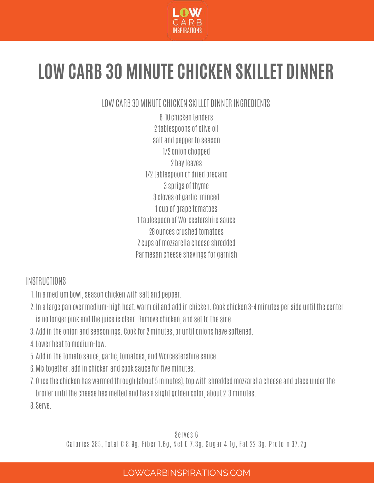

### **LOW CARB 30 MINUTE CHICKEN SKILLET DINNER**

LOW CARB 30 MINUTE CHICKEN SKILLET DINNER INGREDIENTS

6-10chicken tenders 2tablespoons of olive oil salt and pepper to season 1/2 onion chopped 2 bayleaves 1/2tablespoon of dried oregano 3sprigs of thyme 3cloves of garlic,minced 1 cup of grape tomatoes 1 tablespoon of Worcestershire sauce 28 ouncescrushed tomatoes 2cups ofmozzarella cheeseshredded Parmesan cheese shavings for garnish

### INSTRUCTIONS

- 1. In a medium bowl, season chicken with salt and pepper.
- 2. In a large pan over medium-high heat, warm oil and add in chicken. Cook chicken 3-4 minutes per side until the center is no longer pink and the juice is clear. Remove chicken, and set to the side.
- 3. Add in the onion and seasonings. Cook for 2 minutes, or until onions have softened.
- 4. Lower heat to medium-low.
- 5. Add in the tomato sauce, garlic, tomatoes, and Worcestershire sauce.
- 6. MIX together, add in chicken and cook sauce for five minutes.
- /. Once the chicken has warmed through (about 5 minutes), top with shredded mozzarella cheese and place under the broiler until thecheese hasmelted and has a slight golden color, about2-3minutes.

Serve. 8.

Serves 6 Calories 385, Total C 8.9g, Fiber 1.6g, Net C 7.3g, Sugar 4.1g, Fat 22.3g, Protein 37.2g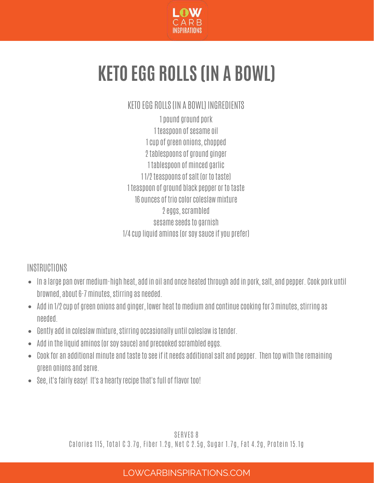

## **KETO EGG ROLLS (IN A BOWL)**

### KETO EGG ROLLS IIN A BOWLI INGREDIENTS

1 pound ground pork 1 teaspoon of sesame oil 1cup of green onions,chopped 2tablespoons of ground ginger 1 tablespoon of minced garlic 11/2 teaspoons of salt (or to taste) 1 teaspoon of ground black pepper or to taste 16 ounces of trio colorcoleslawmixture 2eggs,scrambled sesame seeds to garnish 1/4cup liquid aminos(orsoysauceifyou prefer)

### **INSTRUCTIONS**

- In a large pan overmedium-high heat, add in oil and once heated through add in pork,salt, and pepper. Cook pork until browned, about6-7minutes,stirring as needed.
- Add in 1/2 cup of green onions and ginger, lower heat to medium and continue cooking for 3 minutes, stirring as needed.
- Gently add in coleslawmixture,stirring occasionally untilcoleslaw istender.
- $\bullet$  Add in the liquid aminos (or soy sauce) and precooked scrambled eggs.
- $\bullet$  Cook for an additional minute and taste to see if it needs additional salt and pepper. Then top with the remaining green onions and serve.
- See, it's fairly easy! It's a hearty recipe that's full of flavor too!

SERVES 8 Calories 115, Total C 3.7g, Fiber 1.2g, Net C 2.5g, Sugar 1.7g, Fat 4.2g, Protein 15.1g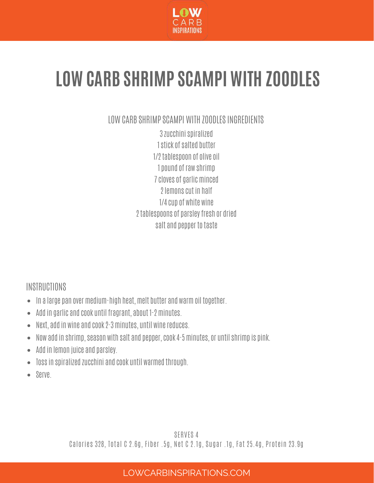

### **LOW CARB SHRIMP SCAMPI WITH ZOODLES**

LOW CARB SHRIMP SCAMPI WITH ZOODLESINGREDIENTS

3zucchinispiralized 1stick ofsalted butter 1/2tablespoon of olive oil 1 pound of raw shrimp 7 cloves of garlic minced 2lemonscut in half 1/4cup of white wine 2 tablespoons of parsley fresh or dried salt and pepper to taste

### **INSTRUCTIONS**

- $\bullet$  In a large pan over medium-high heat, melt butter and warm oil together.
- Add in garlic and cook until fragrant, about 1-2minutes.  $\bullet$
- Next, add in wine and cook2-3minutes, until winereduces.  $\bullet$
- Now add in shrimp, season with salt and pepper, cook 4-5 minutes, or until shrimp is pink.
- Add in lemon juice and parsley.
- Tossin spiralized zucchini and cook until warmed through.  $\bullet$
- Serve.  $\bullet$

SERVES 4 Calories 328, Total C 2.6g, Fiber .5g, Net C 2.1g, Sugar .1g, Fat 25.4g, Protein 23.9g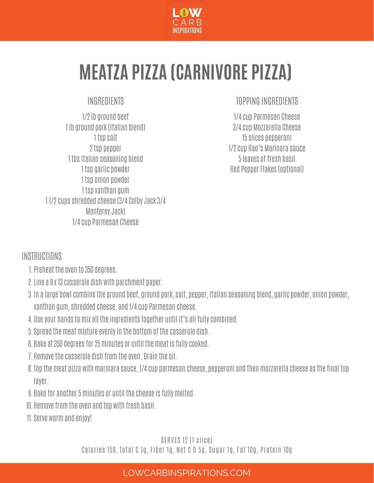

### **MEATZA PIZZA (CARNIVORE PIZZA)**

### INGREDIENTS

1/2lb ground beef 1 lb ground pork(Italian blend) 1 tsp salt 2tsp pepper 1 tbs Italian seasoning blend 1 tsp garlic powder 1 tsp onion powder 1 tsp xanthan gum 1 1/2cupsshredded cheese(3/4 ColbyJack3/4 MontereyJack) 1/4cup Parmesan Cheese

### TOPPING INGREDIENTS

1/4cup Parmesan Cheese 3/4cup Mozzarella Cheese 15slices pepperoni 1/2cup Rao's Marinara sauce 5leaves of fresh basil Red Pepper Flakes (optional)

### **INSTRUCTIONS**

- 1. Preneat the oven to 350 degrees.
- Line a 9x 13casserole dish with parchment paper. 2.
- 3. In a large bowl combine tne ground beet, ground pork, salt, pepper, Italian seasoning blend, garlic powder, onion powder, xanthan gum,shredded cheese, and 1/4cup Parmesan cheese.
- 4. USE YOUT NANOS TO MIX AII THE INGFEOIENTS TOGETHEF UNTIL IT'S AII TUIIY COMDINEO.
- 5. Spread the meat mixture evenly in the bottom of the casserole dish.
- 6. Bake at 350 degrees for 25 minutes or until the meat is fully cooked.
- 7. Remove the casserole dish from the oven. Drain the oil.
- 8. Iop the meat pizza with marinara sauce, 1/4 cup parmesan cheese, pepperoni and then mozzarella cheese as the final top layer.
- 9. Bake for another 5 minutes or until the cheese is fully melted.
- 10. Remove from the oven and top with fresh basil.
- Serve warmand enjoy! 11.

#### SERVES 12 (1 slice)

Calories 158, Total C 1g, Fiber 1g, Net C 0.5g, Sugar 1g, Fat 10g, Protein 10g